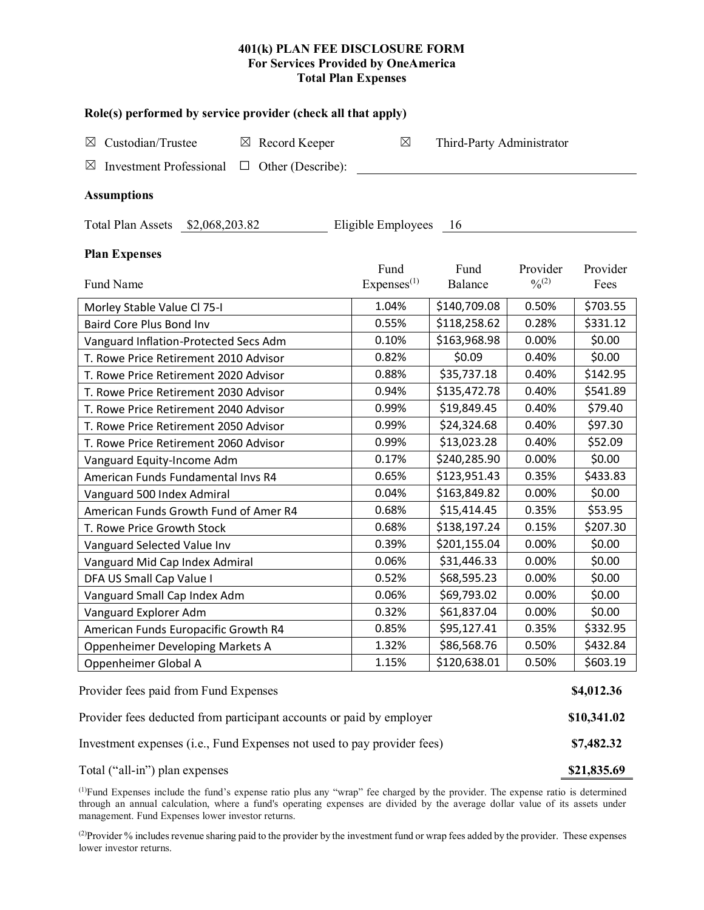## **401(k) PLAN FEE DISCLOSURE FORM For Services Provided by OneAmerica Total Plan Expenses**

| Role(s) performed by service provider (check all that apply)            |                                |                           |                       |                  |  |  |  |  |  |
|-------------------------------------------------------------------------|--------------------------------|---------------------------|-----------------------|------------------|--|--|--|--|--|
| Custodian/Trustee<br>$\boxtimes$ Record Keeper<br>$\boxtimes$           | $\boxtimes$                    | Third-Party Administrator |                       |                  |  |  |  |  |  |
| <b>Investment Professional</b><br>$\Box$ Other (Describe):<br>⊠         |                                |                           |                       |                  |  |  |  |  |  |
|                                                                         |                                |                           |                       |                  |  |  |  |  |  |
| <b>Assumptions</b>                                                      |                                |                           |                       |                  |  |  |  |  |  |
| Total Plan Assets \$2,068,203.82<br>Eligible Employees<br>- 16          |                                |                           |                       |                  |  |  |  |  |  |
| <b>Plan Expenses</b>                                                    |                                |                           |                       |                  |  |  |  |  |  |
| Fund Name                                                               | Fund<br>Express <sup>(1)</sup> | Fund<br>Balance           | Provider<br>$^{0}(2)$ | Provider<br>Fees |  |  |  |  |  |
| Morley Stable Value Cl 75-I                                             | 1.04%                          | \$140,709.08              | 0.50%                 | \$703.55         |  |  |  |  |  |
| Baird Core Plus Bond Inv                                                | 0.55%                          | \$118,258.62              | 0.28%                 | \$331.12         |  |  |  |  |  |
| Vanguard Inflation-Protected Secs Adm                                   | 0.10%                          | \$163,968.98              | 0.00%                 | \$0.00           |  |  |  |  |  |
| T. Rowe Price Retirement 2010 Advisor                                   | 0.82%                          | \$0.09                    | 0.40%                 | \$0.00           |  |  |  |  |  |
| T. Rowe Price Retirement 2020 Advisor                                   | 0.88%                          | \$35,737.18               | 0.40%                 | \$142.95         |  |  |  |  |  |
| T. Rowe Price Retirement 2030 Advisor                                   | 0.94%                          | \$135,472.78              | 0.40%                 | \$541.89         |  |  |  |  |  |
| T. Rowe Price Retirement 2040 Advisor                                   | 0.99%                          | \$19,849.45               | 0.40%                 | \$79.40          |  |  |  |  |  |
| T. Rowe Price Retirement 2050 Advisor                                   | 0.99%                          | \$24,324.68               | 0.40%                 | \$97.30          |  |  |  |  |  |
| T. Rowe Price Retirement 2060 Advisor                                   | 0.99%                          | \$13,023.28               | 0.40%                 | \$52.09          |  |  |  |  |  |
| Vanguard Equity-Income Adm                                              | 0.17%                          | \$240,285.90              | 0.00%                 | \$0.00           |  |  |  |  |  |
| American Funds Fundamental Invs R4                                      | 0.65%                          | \$123,951.43              | 0.35%                 | \$433.83         |  |  |  |  |  |
| Vanguard 500 Index Admiral                                              | 0.04%                          | \$163,849.82              | 0.00%                 | \$0.00           |  |  |  |  |  |
| American Funds Growth Fund of Amer R4                                   | 0.68%                          | \$15,414.45               | 0.35%                 | \$53.95          |  |  |  |  |  |
| T. Rowe Price Growth Stock                                              | 0.68%                          | \$138,197.24              | 0.15%                 | \$207.30         |  |  |  |  |  |
| Vanguard Selected Value Inv                                             | 0.39%                          | \$201,155.04              | 0.00%                 | \$0.00           |  |  |  |  |  |
| Vanguard Mid Cap Index Admiral                                          | 0.06%                          | \$31,446.33               | 0.00%                 | \$0.00           |  |  |  |  |  |
| DFA US Small Cap Value I                                                | 0.52%                          | \$68,595.23               | 0.00%                 | \$0.00           |  |  |  |  |  |
| Vanguard Small Cap Index Adm                                            | 0.06%                          | \$69,793.02               | 0.00%                 | \$0.00           |  |  |  |  |  |
| Vanguard Explorer Adm                                                   | 0.32%                          | \$61,837.04               | 0.00%                 | \$0.00           |  |  |  |  |  |
| American Funds Europacific Growth R4                                    | 0.85%                          | \$95,127.41               | 0.35%                 | \$332.95         |  |  |  |  |  |
| Oppenheimer Developing Markets A                                        | 1.32%                          | \$86,568.76               | 0.50%                 | \$432.84         |  |  |  |  |  |
| Oppenheimer Global A                                                    | 1.15%                          | \$120,638.01              | 0.50%                 | \$603.19         |  |  |  |  |  |
| Provider fees paid from Fund Expenses                                   |                                |                           |                       |                  |  |  |  |  |  |
| Provider fees deducted from participant accounts or paid by employer    |                                |                           |                       |                  |  |  |  |  |  |
| Investment expenses (i.e., Fund Expenses not used to pay provider fees) |                                |                           |                       |                  |  |  |  |  |  |
| Total ("all-in") plan expenses                                          |                                |                           |                       |                  |  |  |  |  |  |

(1) Fund Expenses include the fund's expense ratio plus any "wrap" fee charged by the provider. The expense ratio is determined through an annual calculation, where a fund's operating expenses are divided by the average dollar value of its assets under management. Fund Expenses lower investor returns.

(2) Provider % includes revenue sharing paid to the provider by the investment fund or wrap fees added by the provider. These expenses lower investor returns.